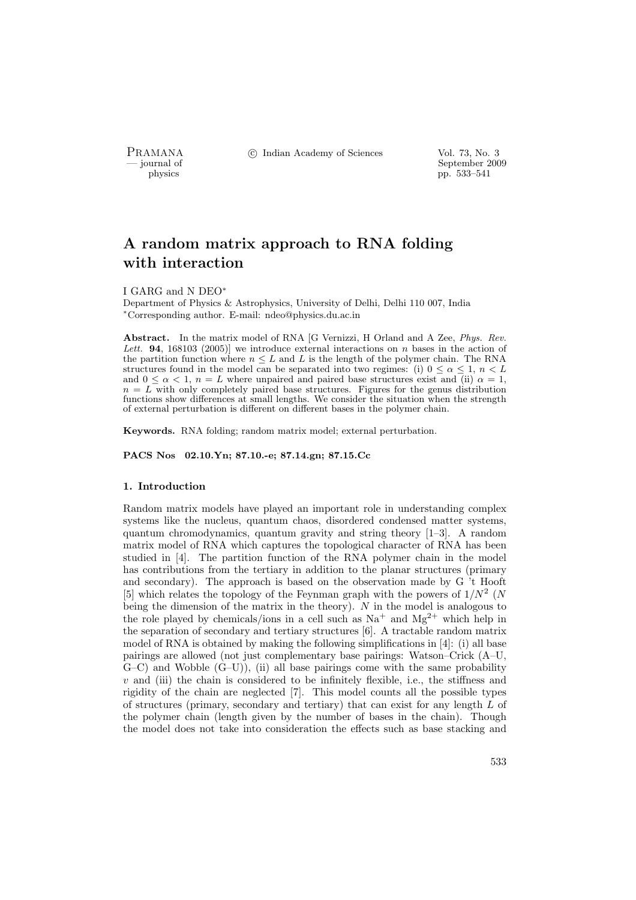PRAMANA <sup>C</sup> Indian Academy of Sciences Vol. 73, No. 3<br>
— iournal of September 200

position of the separation of the separation of the September 2009 physics  $\frac{1}{2}$  pp. 533–541 pp. 533–541

# A random matrix approach to RNA folding with interaction

#### I GARG and N DEO<sup>∗</sup>

Department of Physics & Astrophysics, University of Delhi, Delhi 110 007, India <sup>∗</sup>Corresponding author. E-mail: ndeo@physics.du.ac.in

Abstract. In the matrix model of RNA [G Vernizzi, H Orland and A Zee, *Phys. Rev.* Lett. **94**, 168103 (2005)] we introduce external interactions on n bases in the action of the partition function where  $n \leq L$  and L is the length of the polymer chain. The RNA structures found in the model can be separated into two regimes: (i)  $0 \leq \alpha \leq 1$ ,  $n \leq L$ and  $0 \leq \alpha < 1$ ,  $n = L$  where unpaired and paired base structures exist and (ii)  $\alpha = 1$ ,  $n = L$  with only completely paired base structures. Figures for the genus distribution functions show differences at small lengths. We consider the situation when the strength of external perturbation is different on different bases in the polymer chain.

Keywords. RNA folding; random matrix model; external perturbation.

PACS Nos 02.10.Yn; 87.10.-e; 87.14.gn; 87.15.Cc

# 1. Introduction

Random matrix models have played an important role in understanding complex systems like the nucleus, quantum chaos, disordered condensed matter systems, quantum chromodynamics, quantum gravity and string theory [1–3]. A random matrix model of RNA which captures the topological character of RNA has been studied in [4]. The partition function of the RNA polymer chain in the model has contributions from the tertiary in addition to the planar structures (primary and secondary). The approach is based on the observation made by G 't Hooft [5] which relates the topology of the Feynman graph with the powers of  $1/N^2$  (N being the dimension of the matrix in the theory). N in the model is analogous to the role played by chemicals/ions in a cell such as  $Na<sup>+</sup>$  and  $Mg<sup>2+</sup>$  which help in the separation of secondary and tertiary structures [6]. A tractable random matrix model of RNA is obtained by making the following simplifications in [4]: (i) all base pairings are allowed (not just complementary base pairings: Watson–Crick (A–U,  $(G-C)$  and Wobble  $(G-U)$ , (ii) all base pairings come with the same probability  $v$  and (iii) the chain is considered to be infinitely flexible, i.e., the stiffness and rigidity of the chain are neglected [7]. This model counts all the possible types of structures (primary, secondary and tertiary) that can exist for any length  $L$  of the polymer chain (length given by the number of bases in the chain). Though the model does not take into consideration the effects such as base stacking and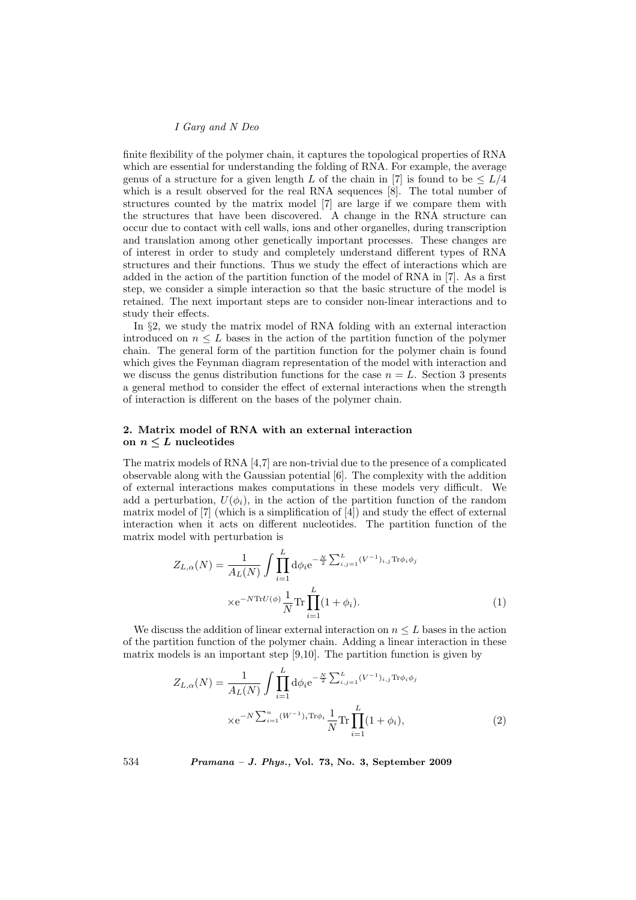# I Garg and N Deo

finite flexibility of the polymer chain, it captures the topological properties of RNA which are essential for understanding the folding of RNA. For example, the average genus of a structure for a given length L of the chain in [7] is found to be  $\leq L/4$ which is a result observed for the real RNA sequences [8]. The total number of structures counted by the matrix model [7] are large if we compare them with the structures that have been discovered. A change in the RNA structure can occur due to contact with cell walls, ions and other organelles, during transcription and translation among other genetically important processes. These changes are of interest in order to study and completely understand different types of RNA structures and their functions. Thus we study the effect of interactions which are added in the action of the partition function of the model of RNA in [7]. As a first step, we consider a simple interaction so that the basic structure of the model is retained. The next important steps are to consider non-linear interactions and to study their effects.

In §2, we study the matrix model of RNA folding with an external interaction introduced on  $n \leq L$  bases in the action of the partition function of the polymer chain. The general form of the partition function for the polymer chain is found which gives the Feynman diagram representation of the model with interaction and we discuss the genus distribution functions for the case  $n = L$ . Section 3 presents a general method to consider the effect of external interactions when the strength of interaction is different on the bases of the polymer chain.

# 2. Matrix model of RNA with an external interaction on  $n \leq L$  nucleotides

The matrix models of RNA [4,7] are non-trivial due to the presence of a complicated observable along with the Gaussian potential [6]. The complexity with the addition of external interactions makes computations in these models very difficult. We add a perturbation,  $U(\phi_i)$ , in the action of the partition function of the random matrix model of [7] (which is a simplification of [4]) and study the effect of external interaction when it acts on different nucleotides. The partition function of the matrix model with perturbation is

$$
Z_{L,\alpha}(N) = \frac{1}{A_L(N)} \int \prod_{i=1}^{L} d\phi_i e^{-\frac{N}{2} \sum_{i,j=1}^{L} (V^{-1})_{i,j} \text{Tr}\phi_i \phi_j}
$$

$$
\times e^{-N \text{Tr} U(\phi)} \frac{1}{N} \text{Tr} \prod_{i=1}^{L} (1 + \phi_i).
$$
 (1)

We discuss the addition of linear external interaction on  $n \leq L$  bases in the action of the partition function of the polymer chain. Adding a linear interaction in these matrix models is an important step [9,10]. The partition function is given by

$$
Z_{L,\alpha}(N) = \frac{1}{A_L(N)} \int \prod_{i=1}^{L} d\phi_i e^{-\frac{N}{2} \sum_{i,j=1}^{L} (V^{-1})_{i,j} \text{Tr}\phi_i \phi_j}
$$

$$
\times e^{-N \sum_{i=1}^{n} (W^{-1})_i \text{Tr}\phi_i} \frac{1}{N} \text{Tr} \prod_{i=1}^{L} (1 + \phi_i), \tag{2}
$$

534 Pramana – J. Phys., Vol. 73, No. 3, September 2009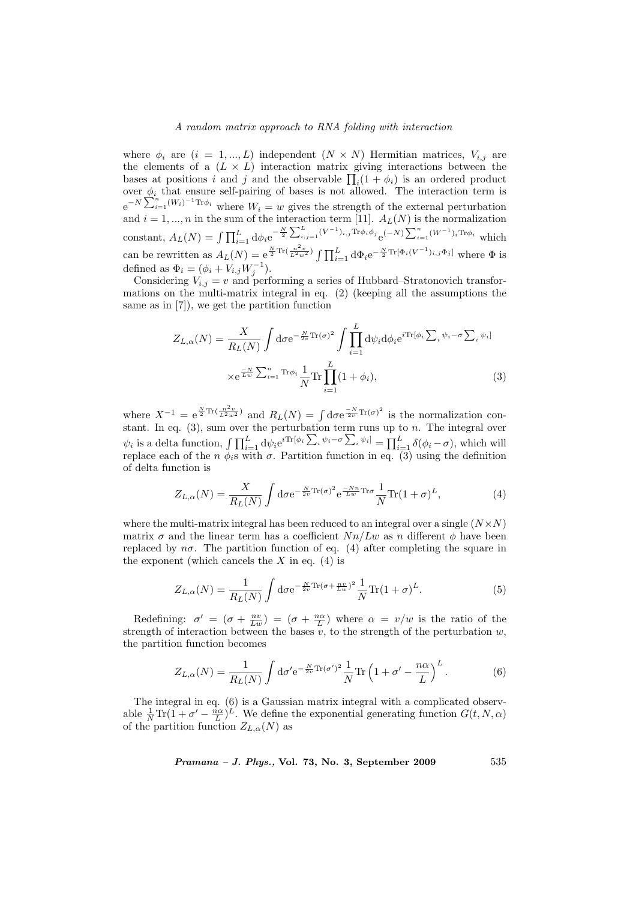## A random matrix approach to RNA folding with interaction

where  $\phi_i$  are  $(i = 1, ..., L)$  independent  $(N \times N)$  Hermitian matrices,  $V_{i,j}$  are the elements of a  $(L \times L)$  interaction matrix giving interactions between the the elements or a  $(L \times L)$  interaction matrix giving interactions between the bases at positions i and j and the observable  $\prod_i (1 + \phi_i)$  is an ordered product over  $\phi_i$  that ensure self-pairing of bases is not allowed. The interaction term is  $e^{-N\sum_{i=1}^{n}(W_i)^{-1}\text{Tr}\phi_i}$  where  $W_i = w$  gives the strength of the external perturbation and  $i = 1, ..., n$  in the sum of the interaction term [11].  $A_L(N)$  is the normalization constant,  $A_L(N) = \int \prod_{i=1}^L d\phi_i e^{-\frac{N}{2} \sum_{i,j=1}^L (V^{-1})_{i,j} \text{Tr} \phi_i \phi_j} e^{(-N) \sum_{i=1}^n (V^{-1})_{i,j} \text{Tr} \phi_i \phi_j}$  $\sum_{i=1}^{n} (W^{-1})_i$ Tr $\phi_i$  which can be rewritten as  $A_L(N) = e^{\frac{N}{2}\text{Tr}\left(\frac{n^2v}{L^2w^2}\right)} \int \prod_{i=1}^L d\Phi_i e^{-\frac{N}{2}\text{Tr}[\Phi_i(V^{-1})_{i,j}\Phi_j]}$  where  $\Phi$  is defined as  $\Phi_i = (\phi_i + V_{i,j}W_j^{-1}).$ 

Considering  $V_{i,j} = v$  and performing a series of Hubbard–Stratonovich transformations on the multi-matrix integral in eq. (2) (keeping all the assumptions the same as in [7]), we get the partition function

$$
Z_{L,\alpha}(N) = \frac{X}{R_L(N)} \int d\sigma e^{-\frac{N}{2v}\text{Tr}(\sigma)^2} \int \prod_{i=1}^L d\psi_i d\phi_i e^{i\text{Tr}[\phi_i \sum_i \psi_i - \sigma \sum_i \psi_i]}
$$

$$
\times e^{\frac{-N}{Lw} \sum_{i=1}^n \text{Tr}\phi_i} \frac{1}{N} \text{Tr} \prod_{i=1}^L (1 + \phi_i), \tag{3}
$$

where  $X^{-1} = e^{\frac{N}{2} \text{Tr}\left(\frac{n^2 v}{L^2 w^2}\right)}$  and  $R_L(N) = \int d\sigma e^{\frac{-N}{2v} \text{Tr}(\sigma)^2}$  is the normalization constant. In eq.  $(3)$ , sum over the perturbation term runs up to n. The integral over stant. In eq. (3), sum over the perturbation,  $\iint_{i=1}^{L} d\psi_i e^{i \text{Tr}[\phi_i \sum_{i=1}^{L} d\psi_i]}$  $\lim_{i}\psi_{i}-\sigma\sum_{i}$  $i^{[\psi_i]} = \prod_{i=1}^{L} \delta(\phi_i - \sigma)$ , which will replace each of the  $n \phi_i$ s with  $\sigma$ . Partition function in eq. (3) using the definition of delta function is

$$
Z_{L,\alpha}(N) = \frac{X}{R_L(N)} \int \mathrm{d}\sigma \mathrm{e}^{-\frac{N}{2v}\mathrm{Tr}(\sigma)^2} \mathrm{e}^{\frac{-Nn}{Lw}\mathrm{Tr}\sigma} \frac{1}{N} \mathrm{Tr}(1+\sigma)^L,\tag{4}
$$

where the multi-matrix integral has been reduced to an integral over a single  $(N \times N)$ matrix  $\sigma$  and the linear term has a coefficient  $Nn/Lw$  as n different  $\phi$  have been replaced by  $n\sigma$ . The partition function of eq. (4) after completing the square in the exponent (which cancels the  $X$  in eq. (4) is

$$
Z_{L,\alpha}(N) = \frac{1}{R_L(N)} \int \mathrm{d}\sigma \mathrm{e}^{-\frac{N}{2v}\mathrm{Tr}(\sigma + \frac{nv}{Lw})^2} \frac{1}{N} \mathrm{Tr}(1+\sigma)^L. \tag{5}
$$

Redefining:  $\sigma' = (\sigma + \frac{nv}{Lw}) = (\sigma + \frac{n\alpha}{L})$  where  $\alpha = v/w$  is the ratio of the strength of interaction between the bases  $\overline{v}$ , to the strength of the perturbation  $w$ , the partition function becomes

$$
Z_{L,\alpha}(N) = \frac{1}{R_L(N)} \int \mathrm{d}\sigma' \mathrm{e}^{-\frac{N}{2v}\mathrm{Tr}(\sigma')^2} \frac{1}{N} \mathrm{Tr} \left(1 + \sigma' - \frac{n\alpha}{L}\right)^L.
$$
 (6)

The integral in eq. (6) is a Gaussian matrix integral with a complicated observable  $\frac{1}{N} \text{Tr}(1 + \sigma' - \frac{n\alpha}{L})^L$ . We define the exponential generating function  $G(t, N, \alpha)$ of the partition function  $Z_{L,\alpha}(N)$  as

 $Pramana - J. Phys., Vol. 73, No. 3, September 2009$  535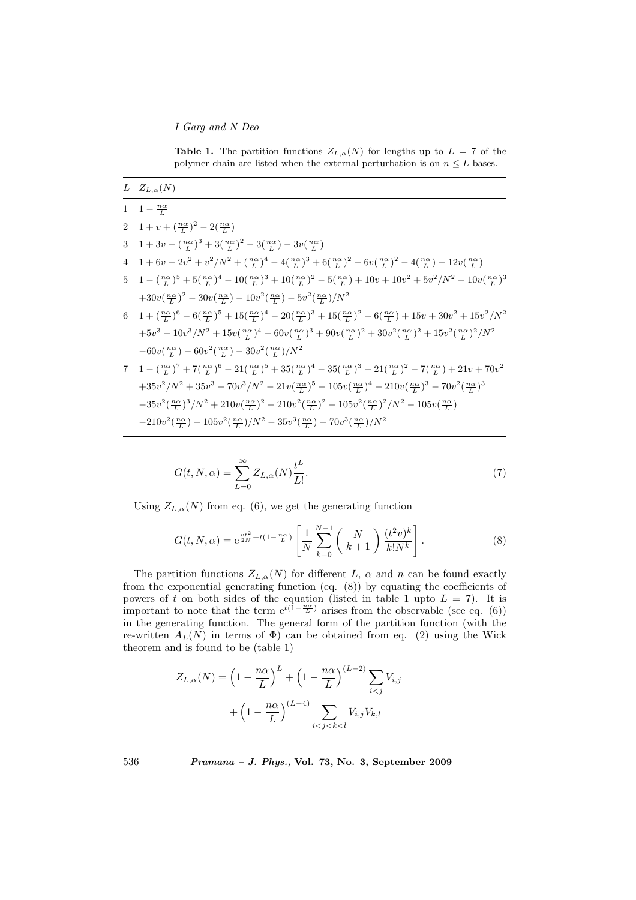I Garg and N Deo

**Table 1.** The partition functions  $Z_{L,\alpha}(N)$  for lengths up to  $L = 7$  of the polymer chain are listed when the external perturbation is on  $n \leq L$  bases.

$$
\frac{L}{1} \frac{Z_{L,\alpha}(N)}{1 - \frac{n\alpha}{L}}
$$
\n
$$
2 \frac{1 + v + (\frac{n\alpha}{L})^2 - 2(\frac{n\alpha}{L})}{1 + 3v - (\frac{n\alpha}{L})^3 + 3(\frac{n\alpha}{L})^2 - 3(\frac{n\alpha}{L}) - 3v(\frac{n\alpha}{L})}
$$
\n
$$
4 \frac{1 + 6v + 2v^2 + v^2/N^2 + (\frac{n\alpha}{L})^4 - 4(\frac{n\alpha}{L})^3 + 6(\frac{n\alpha}{L})^2 + 6v(\frac{n\alpha}{L})^2 - 4(\frac{n\alpha}{L}) - 12v(\frac{n\alpha}{L})
$$
\n
$$
5 \frac{1 - (\frac{n\alpha}{L})^5 + 5(\frac{n\alpha}{L})^4 - 10(\frac{n\alpha}{L})^3 + 10(\frac{n\alpha}{L})^2 - 5(\frac{n\alpha}{L}) + 10v + 10v^2 + 5v^2/N^2 - 10v(\frac{n\alpha}{L})^3
$$
\n
$$
+30v(\frac{n\alpha}{L})^2 - 30v(\frac{n\alpha}{L}) - 10v^2(\frac{n\alpha}{L}) - 5v^2(\frac{n\alpha}{L})/N^2
$$
\n
$$
6 \frac{1 + (\frac{n\alpha}{L})^6 - 6(\frac{n\alpha}{L})^5 + 15(\frac{n\alpha}{L})^4 - 20(\frac{n\alpha}{L})^3 + 15(\frac{n\alpha}{L})^2 - 6(\frac{n\alpha}{L}) + 15v + 30v^2 + 15v^2/N^2
$$
\n
$$
+5v^3 + 10v^3/N^2 + 15v(\frac{n\alpha}{L})^4 - 60v(\frac{n\alpha}{L})^3 + 90v(\frac{n\alpha}{L})^2 + 30v^2(\frac{n\alpha}{L})^2 + 15v^2(\frac{n\alpha}{L})^2/N^2
$$
\n
$$
-60v(\frac{n\alpha}{L}) - 60v^2(\frac{n\alpha}{L}) - 30v^2(\frac{n\alpha}{L})/N^2
$$
\n
$$
7 \frac{1 - (\frac{n\alpha}{L})^7 + 7(\frac{n\alpha}{L})^6 - 21(\frac{n\alpha}{L})^5 + 35(\frac{n\alpha}{L})^4 - 35(\
$$

$$
-210v^2(\tfrac{n\alpha}{L})-105v^2(\tfrac{n\alpha}{L})/N^2-35v^3(\tfrac{n\alpha}{L})-70v^3(\tfrac{n\alpha}{L})/N^2
$$

$$
G(t, N, \alpha) = \sum_{L=0}^{\infty} Z_{L, \alpha}(N) \frac{t^L}{L!}.
$$
\n(7)

Using  $Z_{L,\alpha}(N)$  from eq. (6), we get the generating function

$$
G(t, N, \alpha) = e^{\frac{vt^2}{2N} + t(1 - \frac{n\alpha}{L})} \left[ \frac{1}{N} \sum_{k=0}^{N-1} \binom{N}{k+1} \frac{(t^2 v)^k}{k! N^k} \right].
$$
 (8)

The partition functions  $Z_{L,\alpha}(N)$  for different L,  $\alpha$  and n can be found exactly from the exponential generating function (eq. (8)) by equating the coefficients of powers of t on both sides of the equation (listed in table 1 upto  $L = 7$ ). It is important to note that the term  $e^{t(1-\frac{n\alpha}{L})}$  arises from the observable (see eq. (6)) in the generating function. The general form of the partition function (with the re-written  $A_L(N)$  in terms of  $\Phi$ ) can be obtained from eq. (2) using the Wick theorem and is found to be (table 1)

$$
Z_{L,\alpha}(N) = \left(1 - \frac{n\alpha}{L}\right)^L + \left(1 - \frac{n\alpha}{L}\right)^{(L-2)} \sum_{i < j} V_{i,j}
$$
\n
$$
+ \left(1 - \frac{n\alpha}{L}\right)^{(L-4)} \sum_{i < j < k < l} V_{i,j} V_{k,l}
$$

536 Pramana – J. Phys., Vol. 73, No. 3, September 2009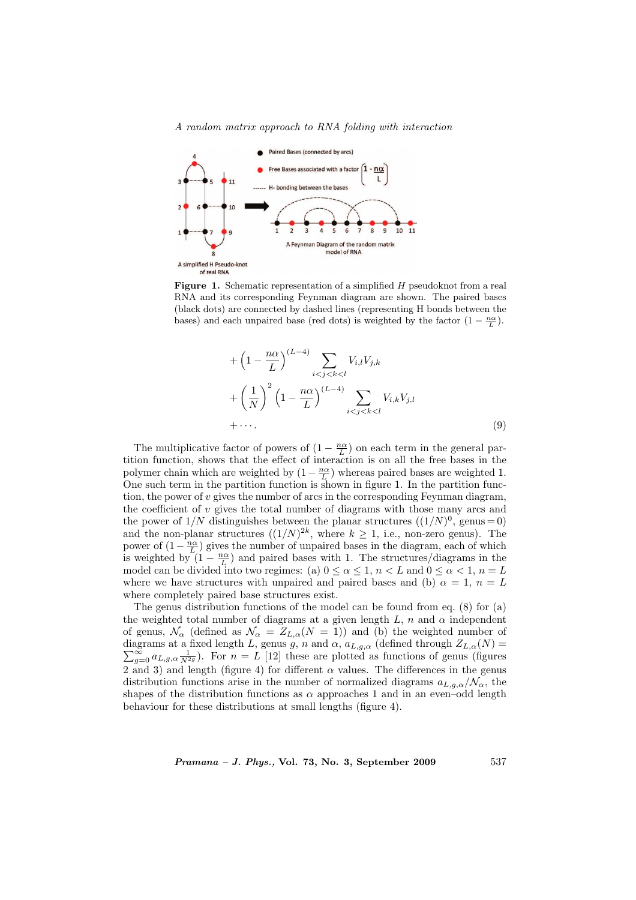A random matrix approach to RNA folding with interaction



**Figure 1.** Schematic representation of a simplified  $H$  pseudoknot from a real RNA and its corresponding Feynman diagram are shown. The paired bases (black dots) are connected by dashed lines (representing H bonds between the bases) and each unpaired base (red dots) is weighted by the factor  $(1 - \frac{n\alpha}{L})$ .

$$
+\left(1-\frac{n\alpha}{L}\right)^{(L-4)}\sum_{i
$$
+\left(\frac{1}{N}\right)^{2}\left(1-\frac{n\alpha}{L}\right)^{(L-4)}\sum_{i
$$
+\cdots.
$$

$$
(9)
$$
$$
$$

The multiplicative factor of powers of  $(1 - \frac{n\alpha}{L})$  on each term in the general partition function, shows that the effect of interaction is on all the free bases in the polymer chain which are weighted by  $(1 - \frac{n\alpha}{L})$  whereas paired bases are weighted 1. One such term in the partition function is shown in figure 1. In the partition function, the power of  $v$  gives the number of arcs in the corresponding Feynman diagram, the coefficient of  $v$  gives the total number of diagrams with those many arcs and the power of  $1/N$  distinguishes between the planar structures  $((1/N)^0$ , genus = 0) and the non-planar structures  $((1/N)^{2k}$ , where  $k \geq 1$ , i.e., non-zero genus). The power of  $(1 - \frac{n\alpha}{L})$  gives the number of unpaired bases in the diagram, each of which is weighted by  $(1 - \frac{n\alpha}{L})$  and paired bases with 1. The structures/diagrams in the model can be divided into two regimes: (a)  $0 \le \alpha \le 1$ ,  $n < L$  and  $0 \le \alpha < 1$ ,  $n = L$ where we have structures with unpaired and paired bases and (b)  $\alpha = 1$ ,  $n = L$ where completely paired base structures exist.

The genus distribution functions of the model can be found from eq. (8) for (a) the weighted total number of diagrams at a given length  $L$ ,  $n$  and  $\alpha$  independent of genus,  $\mathcal{N}_{\alpha}$  (defined as  $\mathcal{N}_{\alpha} = Z_{L,\alpha}(N = 1)$ ) and (b) the weighted number of diagrams at a fixed length L, genus g, n and  $\alpha$ ,  $a_{L,g,\alpha}$  (defined through  $Z_{L,\alpha}(N) = \sum_{g=0}^{\infty} a_{L,g,\alpha} \frac{1}{N^{2g}}$ ). For  $n = L$  [12] these are plotted as functions of genus (figures 2 and 3) and length (figure 4) for different  $\alpha$  values. The differences in the genus distribution functions arise in the number of normalized diagrams  $a_{L,q,\alpha}/N_{\alpha}$ , the shapes of the distribution functions as  $\alpha$  approaches 1 and in an even-odd length behaviour for these distributions at small lengths (figure 4).

 $Pramana - J. Phys., Vol. 73, No. 3, September 2009$  537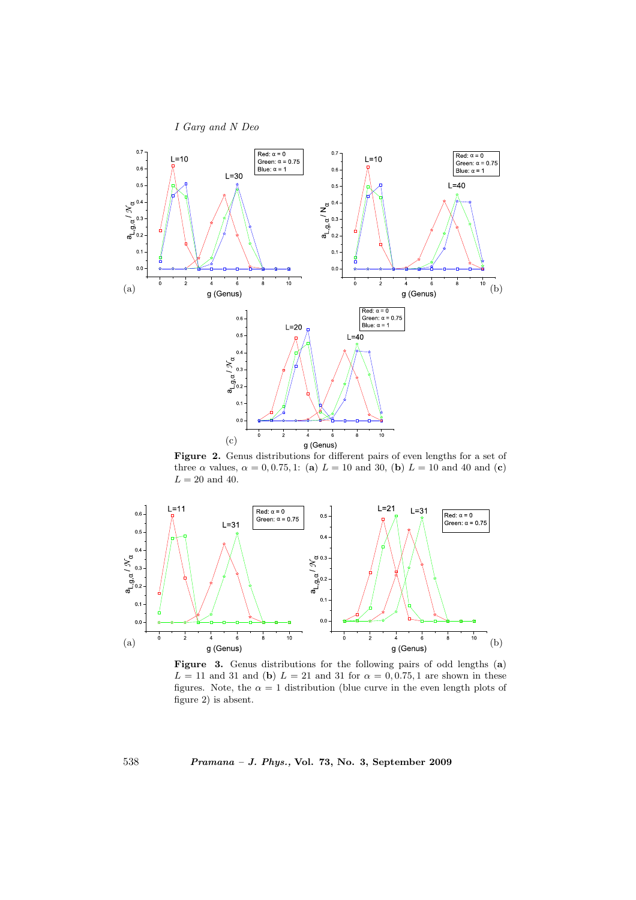



Figure 2. Genus distributions for different pairs of even lengths for a set of three  $\alpha$  values,  $\alpha = 0, 0.75, 1$ : (a)  $L = 10$  and 30, (b)  $L = 10$  and 40 and (c)  $L = 20$  and 40.



Figure 3. Genus distributions for the following pairs of odd lengths (a)  $L = 11$  and 31 and (b)  $L = 21$  and 31 for  $\alpha = 0.075, 1$  are shown in these figures. Note, the  $\alpha = 1$  distribution (blue curve in the even length plots of figure 2) is absent.

538 Pramana – J. Phys., Vol. 73, No. 3, September 2009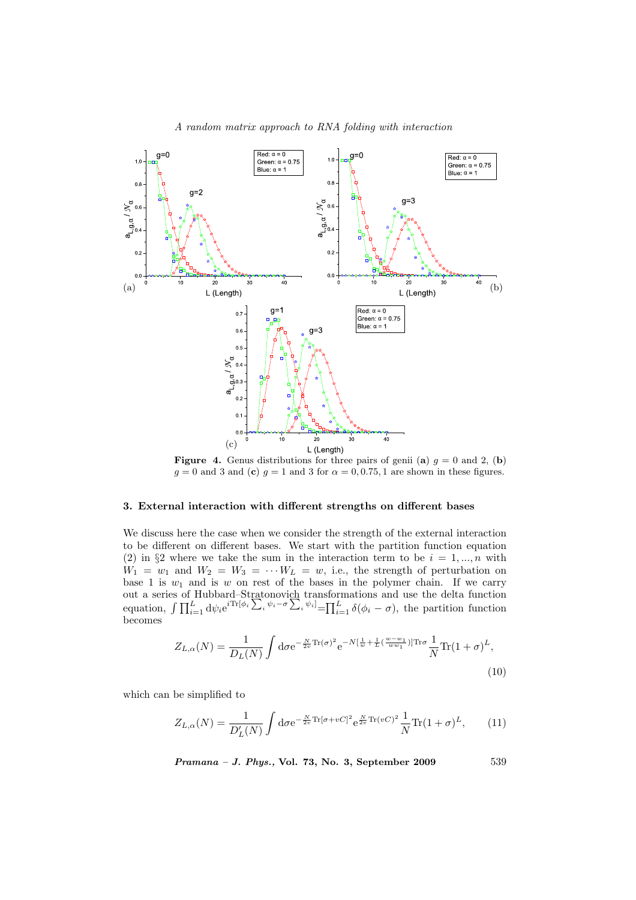

**Figure 4.** Genus distributions for three pairs of genii (a)  $g = 0$  and 2, (b)  $g = 0$  and 3 and (c)  $g = 1$  and 3 for  $\alpha = 0, 0.75, 1$  are shown in these figures.

## 3. External interaction with different strengths on different bases

We discuss here the case when we consider the strength of the external interaction to be different on different bases. We start with the partition function equation (2) in §2 where we take the sum in the interaction term to be  $i = 1, ..., n$  with  $W_1 = w_1$  and  $W_2 = W_3 = \cdots W_L = w$ , i.e., the strength of perturbation on base 1 is  $w_1$  and is w on rest of the bases in the polymer chain. If we carry out a series of Hubbard–Stratonovich transformations and use the delta function<br>equation,  $\int \prod_{i=1}^{L} d\psi_i e^{i \text{Tr}[\phi_i \sum_i \psi_i - \sigma \sum_i \psi_i]} = \prod_{i=1}^{L} \delta(\phi_i - \sigma)$ , the partition function  $\operatorname*{convich}_{i} \underset{\psi_{i}-\sigma}{\text{two-}}$ transformations and use the detta function<br>  $i^{[\psi_i]} = \prod_{i=1}^{L} \delta(\phi_i - \sigma)$ , the partition function becomes

$$
Z_{L,\alpha}(N) = \frac{1}{D_L(N)} \int \mathrm{d}\sigma \mathrm{e}^{-\frac{N}{2v} \mathrm{Tr}(\sigma)^2} \mathrm{e}^{-N[\frac{1}{w} + \frac{1}{L}(\frac{w - w_1}{ww_1})] \mathrm{Tr}\sigma} \frac{1}{N} \mathrm{Tr}(1+\sigma)^L,
$$
\n(10)

which can be simplified to

$$
Z_{L,\alpha}(N) = \frac{1}{D'_L(N)} \int \mathrm{d}\sigma \mathrm{e}^{-\frac{N}{2v}\mathrm{Tr}[\sigma + vC]^2} \mathrm{e}^{\frac{N}{2v}\mathrm{Tr}(vC)^2} \frac{1}{N} \mathrm{Tr}(1+\sigma)^L,\tag{11}
$$

Pramana – J. Phys., Vol. 73, No. 3, September 2009 539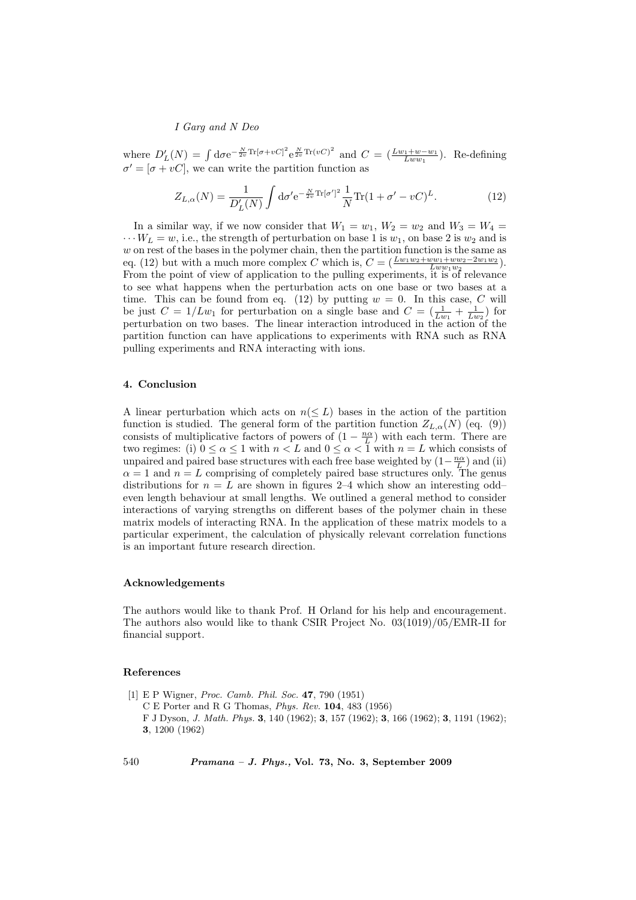I Garg and N Deo

where  $D'_{L}(N) = \int d\sigma e^{-\frac{N}{2v}\text{Tr}[\sigma + vC]^2} e^{\frac{N}{2v}\text{Tr}(vC)^2}$  and  $C = (\frac{Lw_1 + w - w_1}{Lww_1})$ . Re-defining  $\sigma' = [\sigma + vC]$ , we can write the partition function as

$$
Z_{L,\alpha}(N) = \frac{1}{D'_L(N)} \int \mathrm{d}\sigma' \mathrm{e}^{-\frac{N}{2v}\mathrm{Tr}[\sigma']^2} \frac{1}{N} \mathrm{Tr}(1 + \sigma' - vC)^L. \tag{12}
$$

In a similar way, if we now consider that  $W_1 = w_1$ ,  $W_2 = w_2$  and  $W_3 = W_4 =$  $\cdots W_L = w$ , i.e., the strength of perturbation on base 1 is  $w_1$ , on base 2 is  $w_2$  and is  $w$  on rest of the bases in the polymer chain, then the partition function is the same as eq. (12) but with a much more complex C which is,  $C = \left(\frac{Lw_1w_2 + ww_1 +ww_2-2w_1w_2}{Lw_1w_2w_1} \right)$ . From the point of view of application to the pulling experiments, it is of relevance to see what happens when the perturbation acts on one base or two bases at a time. This can be found from eq. (12) by putting  $w = 0$ . In this case, C will be just  $C = 1/Lw_1$  for perturbation on a single base and  $C = (\frac{1}{Lw_1} + \frac{1}{Lw_2})$  for perturbation on two bases. The linear interaction introduced in the action of the partition function can have applications to experiments with RNA such as RNA pulling experiments and RNA interacting with ions.

# 4. Conclusion

A linear perturbation which acts on  $n(\leq L)$  bases in the action of the partition function is studied. The general form of the partition function  $Z_{L,\alpha}(N)$  (eq. (9)) consists of multiplicative factors of powers of  $(1 - \frac{n\alpha}{L})$  with each term. There are two regimes: (i)  $0 \le \alpha \le 1$  with  $n < L$  and  $0 \le \alpha < \overline{1}$  with  $n = L$  which consists of unpaired and paired base structures with each free base weighted by  $(1 - \frac{n\alpha}{L})$  and (ii)  $\alpha = 1$  and  $n = L$  comprising of completely paired base structures only. The genus distributions for  $n = L$  are shown in figures 2–4 which show an interesting odd– even length behaviour at small lengths. We outlined a general method to consider interactions of varying strengths on different bases of the polymer chain in these matrix models of interacting RNA. In the application of these matrix models to a particular experiment, the calculation of physically relevant correlation functions is an important future research direction.

## Acknowledgements

The authors would like to thank Prof. H Orland for his help and encouragement. The authors also would like to thank CSIR Project No. 03(1019)/05/EMR-II for financial support.

### References

[1] E P Wigner, Proc. Camb. Phil. Soc. 47, 790 (1951) C E Porter and R G Thomas, Phys. Rev. 104, 483 (1956) F J Dyson, J. Math. Phys. 3, 140 (1962); 3, 157 (1962); 3, 166 (1962); 3, 1191 (1962); 3, 1200 (1962)